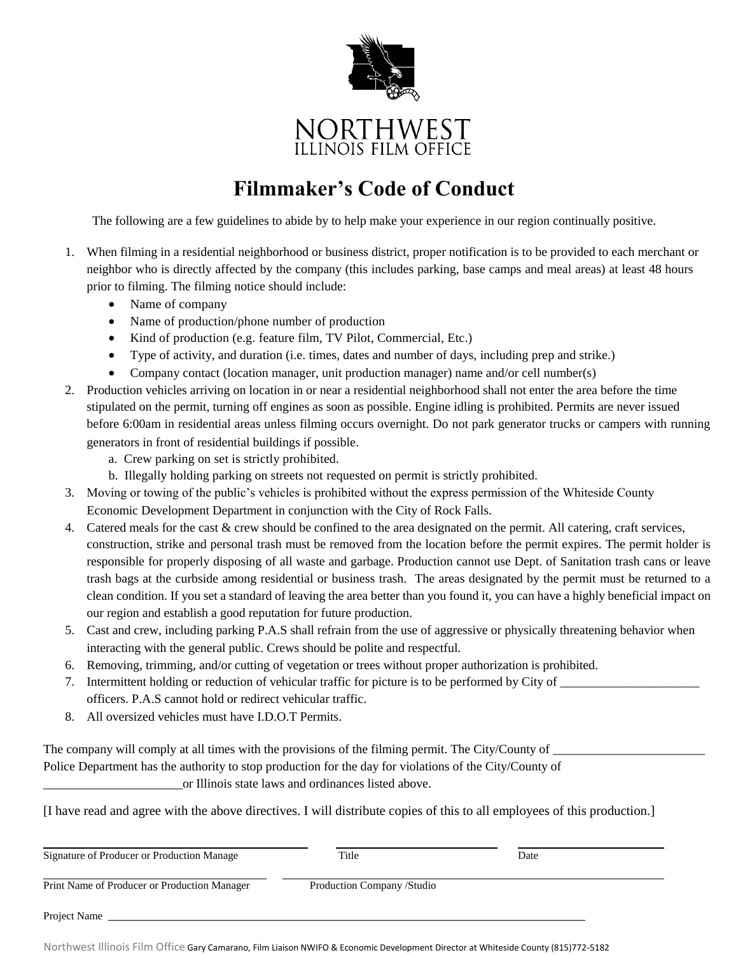

# NORTHWEST<br>ILLINOIS FILM OFFICE

## **Filmmaker's Code of Conduct**

The following are a few guidelines to abide by to help make your experience in our region continually positive.

- 1. When filming in a residential neighborhood or business district, proper notification is to be provided to each merchant or neighbor who is directly affected by the company (this includes parking, base camps and meal areas) at least 48 hours prior to filming. The filming notice should include:
	- Name of company
	- Name of production/phone number of production
	- Kind of production (e.g. feature film, TV Pilot, Commercial, Etc.)
	- Type of activity, and duration (i.e. times, dates and number of days, including prep and strike.)
	- Company contact (location manager, unit production manager) name and/or cell number(s)
- 2. Production vehicles arriving on location in or near a residential neighborhood shall not enter the area before the time stipulated on the permit, turning off engines as soon as possible. Engine idling is prohibited. Permits are never issued before 6:00am in residential areas unless filming occurs overnight. Do not park generator trucks or campers with running generators in front of residential buildings if possible.
	- a. Crew parking on set is strictly prohibited.
	- b. Illegally holding parking on streets not requested on permit is strictly prohibited.
- 3. Moving or towing of the public's vehicles is prohibited without the express permission of the Whiteside County Economic Development Department in conjunction with the City of Rock Falls.
- 4. Catered meals for the cast & crew should be confined to the area designated on the permit. All catering, craft services, construction, strike and personal trash must be removed from the location before the permit expires. The permit holder is responsible for properly disposing of all waste and garbage. Production cannot use Dept. of Sanitation trash cans or leave trash bags at the curbside among residential or business trash. The areas designated by the permit must be returned to a clean condition. If you set a standard of leaving the area better than you found it, you can have a highly beneficial impact on our region and establish a good reputation for future production.
- 5. Cast and crew, including parking P.A.S shall refrain from the use of aggressive or physically threatening behavior when interacting with the general public. Crews should be polite and respectful.
- 6. Removing, trimming, and/or cutting of vegetation or trees without proper authorization is prohibited.
- 7. Intermittent holding or reduction of vehicular traffic for picture is to be performed by City of \_\_\_\_\_\_\_\_\_\_\_\_\_\_\_\_\_\_\_\_\_\_ officers. P.A.S cannot hold or redirect vehicular traffic.
- 8. All oversized vehicles must have I.D.O.T Permits.

The company will comply at all times with the provisions of the filming permit. The City/County of Police Department has the authority to stop production for the day for violations of the City/County of or Illinois state laws and ordinances listed above.

[I have read and agree with the above directives. I will distribute copies of this to all employees of this production.]

| Signature of Producer or Production Manage   | Title                       | Date |  |
|----------------------------------------------|-----------------------------|------|--|
| Print Name of Producer or Production Manager | Production Company / Studio |      |  |
| Project Name                                 |                             |      |  |

Northwest Illinois Film Office Gary Camarano, Film Liaison NWIFO & Economic Development Director at Whiteside County (815)772-5182